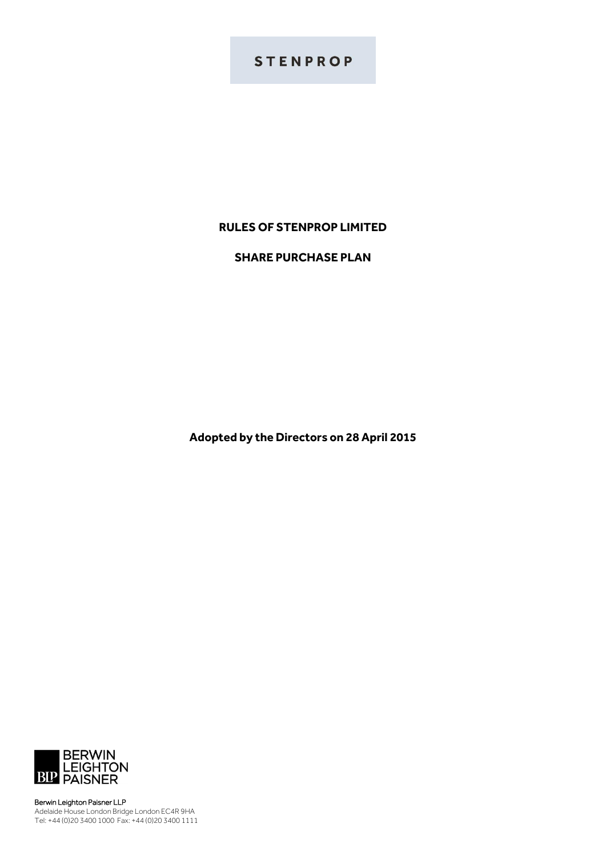# **STENPROP**

## **RULES OF STENPROP LIMITED**

## **SHARE PURCHASE PLAN**

**Adopted by the Directors on 28 April 2015**



Berwin Leighton Paisner LLP Adelaide House London Bridge London EC4R 9HA Tel: +44 (0)20 3400 1000 Fax: +44 (0)20 3400 1111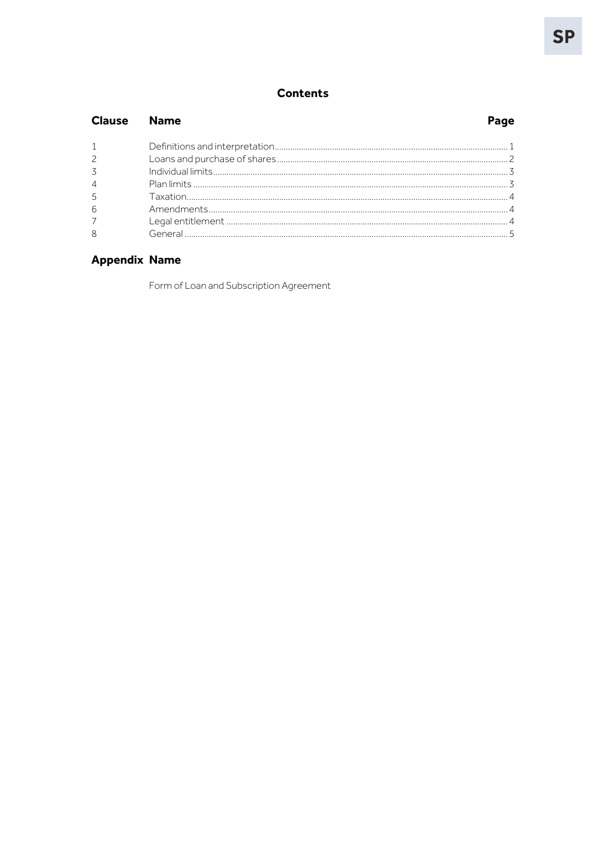## **Contents**

| <b>Clause</b> Name |  |
|--------------------|--|
|                    |  |
| $\overline{2}$     |  |
| 3                  |  |
| $\overline{4}$     |  |
| 5                  |  |
| 6                  |  |
| $\overline{7}$     |  |
| 8                  |  |

## **Appendix Name**

Form of Loan and Subscription Agreement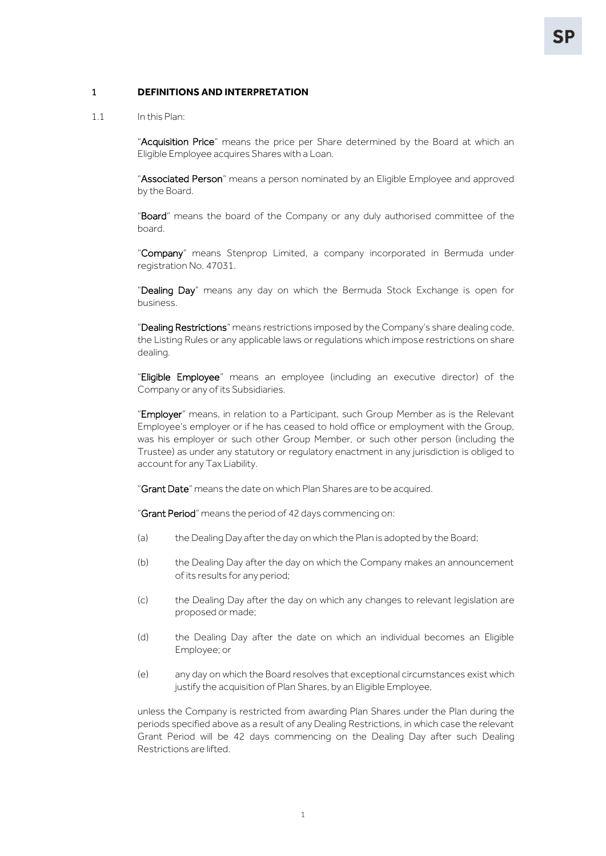#### <span id="page-2-0"></span>1 **DEFINITIONS AND INTERPRETATION**

1.1 In this Plan:

"Acquisition Price" means the price per Share determined by the Board at which an Eligible Employee acquires Shares with a Loan.

"Associated Person" means a person nominated by an Eligible Employee and approved by the Board.

"Board" means the board of the Company or any duly authorised committee of the board.

"Company" means Stenprop Limited, a company incorporated in Bermuda under registration No. 47031.

"Dealing Day" means any day on which the Bermuda Stock Exchange is open for business.

"Dealing Restrictions" means restrictions imposed by the Company's share dealing code, the Listing Rules or any applicable laws or regulations which impose restrictions on share dealing.

"Eligible Employee" means an employee (including an executive director) of the Company or any of its Subsidiaries.

"Employer" means, in relation to a Participant, such Group Member as is the Relevant Employee's employer or if he has ceased to hold office or employment with the Group, was his employer or such other Group Member, or such other person (including the Trustee) as under any statutory or regulatory enactment in any jurisdiction is obliged to account for any Tax Liability.

"Grant Date" means the date on which Plan Shares are to be acquired.

"Grant Period" means the period of 42 days commencing on:

- (a) the Dealing Day after the day on which the Plan is adopted by the Board;
- (b) the Dealing Day after the day on which the Company makes an announcement of its results for any period;
- (c) the Dealing Day after the day on which any changes to relevant legislation are proposed or made;
- (d) the Dealing Day after the date on which an individual becomes an Eligible Employee; or
- (e) any day on which the Board resolves that exceptional circumstances exist which justify the acquisition of Plan Shares, by an Eligible Employee,

unless the Company is restricted from awarding Plan Shares under the Plan during the periods specified above as a result of any Dealing Restrictions, in which case the relevant Grant Period will be 42 days commencing on the Dealing Day after such Dealing Restrictions are lifted.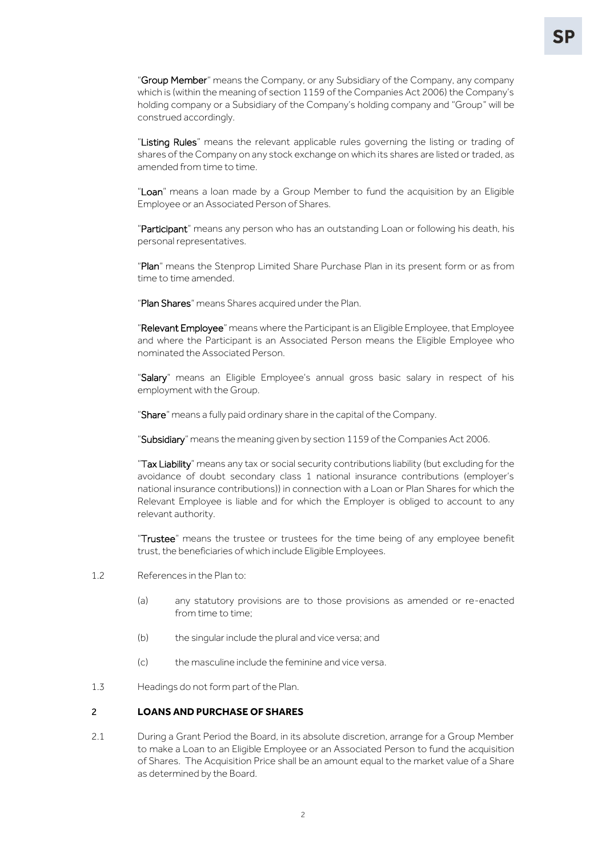"Group Member" means the Company, or any Subsidiary of the Company, any company which is (within the meaning of section 1159 of the Companies Act 2006) the Company's holding company or a Subsidiary of the Company's holding company and "Group" will be construed accordingly.

"Listing Rules" means the relevant applicable rules governing the listing or trading of shares of the Company on any stock exchange on which its shares are listed or traded, as amended from time to time.

"Loan" means a loan made by a Group Member to fund the acquisition by an Eligible Employee or an Associated Person of Shares.

"Participant" means any person who has an outstanding Loan or following his death, his personal representatives.

"Plan" means the Stenprop Limited Share Purchase Plan in its present form or as from time to time amended.

"Plan Shares" means Shares acquired under the Plan.

"Relevant Employee" means where the Participant is an Eligible Employee, that Employee and where the Participant is an Associated Person means the Eligible Employee who nominated the Associated Person.

"Salary" means an Eligible Employee's annual gross basic salary in respect of his employment with the Group.

"Share" means a fully paid ordinary share in the capital of the Company.

"Subsidiary" means the meaning given by section 1159 of the Companies Act 2006.

"Tax Liability" means any tax or social security contributions liability (but excluding for the avoidance of doubt secondary class 1 national insurance contributions (employer's national insurance contributions)) in connection with a Loan or Plan Shares for which the Relevant Employee is liable and for which the Employer is obliged to account to any relevant authority.

"Trustee" means the trustee or trustees for the time being of any employee benefit trust, the beneficiaries of which include Eligible Employees.

- 1.2 References in the Plan to:
	- (a) any statutory provisions are to those provisions as amended or re-enacted from time to time;
	- (b) the singular include the plural and vice versa; and
	- (c) the masculine include the feminine and vice versa.
- <span id="page-3-0"></span>1.3 Headings do not form part of the Plan.

### 2 **LOANS AND PURCHASE OF SHARES**

2.1 During a Grant Period the Board, in its absolute discretion, arrange for a Group Member to make a Loan to an Eligible Employee or an Associated Person to fund the acquisition of Shares. The Acquisition Price shall be an amount equal to the market value of a Share as determined by the Board.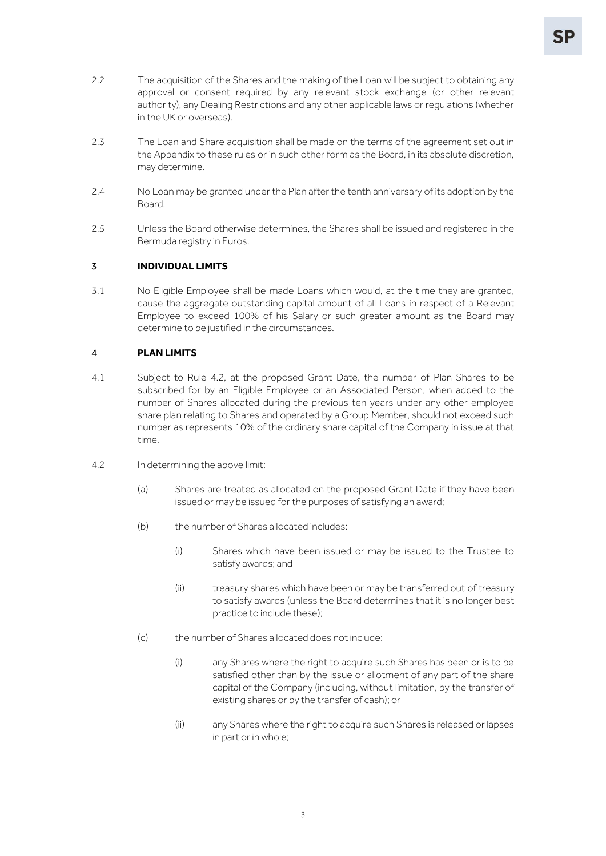- 2.2 The acquisition of the Shares and the making of the Loan will be subject to obtaining any approval or consent required by any relevant stock exchange (or other relevant authority), any Dealing Restrictions and any other applicable laws or regulations (whether in the UK or overseas).
- 2.3 The Loan and Share acquisition shall be made on the terms of the agreement set out in the Appendix to these rules or in such other form as the Board, in its absolute discretion, may determine.
- <span id="page-4-3"></span>2.4 No Loan may be granted under the Plan after the tenth anniversary of its adoption by the Board.
- 2.5 Unless the Board otherwise determines, the Shares shall be issued and registered in the Bermuda registry in Euros.

#### <span id="page-4-0"></span>3 **INDIVIDUAL LIMITS**

3.1 No Eligible Employee shall be made Loans which would, at the time they are granted, cause the aggregate outstanding capital amount of all Loans in respect of a Relevant Employee to exceed 100% of his Salary or such greater amount as the Board may determine to be justified in the circumstances.

### <span id="page-4-1"></span>4 **PLAN LIMITS**

- 4.1 Subject to Rule [4.2,](#page-4-2) at the proposed Grant Date, the number of Plan Shares to be subscribed for by an Eligible Employee or an Associated Person, when added to the number of Shares allocated during the previous ten years under any other employee share plan relating to Shares and operated by a Group Member, should not exceed such number as represents 10% of the ordinary share capital of the Company in issue at that time.
- <span id="page-4-2"></span>4.2 In determining the above limit:
	- (a) Shares are treated as allocated on the proposed Grant Date if they have been issued or may be issued for the purposes of satisfying an award;
	- (b) the number of Shares allocated includes:
		- (i) Shares which have been issued or may be issued to the Trustee to satisfy awards; and
		- (ii) treasury shares which have been or may be transferred out of treasury to satisfy awards (unless the Board determines that it is no longer best practice to include these);
	- (c) the number of Shares allocated does not include:
		- (i) any Shares where the right to acquire such Shares has been or is to be satisfied other than by the issue or allotment of any part of the share capital of the Company (including, without limitation, by the transfer of existing shares or by the transfer of cash); or
		- (ii) any Shares where the right to acquire such Shares is released or lapses in part or in whole;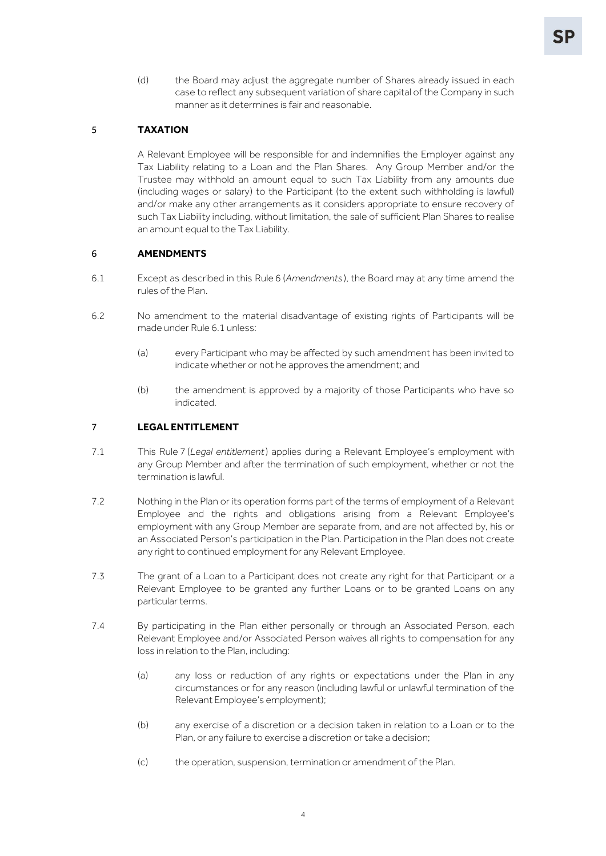(d) the Board may adjust the aggregate number of Shares already issued in each case to reflect any subsequent variation of share capital of the Company in such manner as it determines is fair and reasonable.

## <span id="page-5-0"></span>5 **TAXATION**

A Relevant Employee will be responsible for and indemnifies the Employer against any Tax Liability relating to a Loan and the Plan Shares. Any Group Member and/or the Trustee may withhold an amount equal to such Tax Liability from any amounts due (including wages or salary) to the Participant (to the extent such withholding is lawful) and/or make any other arrangements as it considers appropriate to ensure recovery of such Tax Liability including, without limitation, the sale of sufficient Plan Shares to realise an amount equal to the Tax Liability.

#### <span id="page-5-3"></span><span id="page-5-1"></span>6 **AMENDMENTS**

- 6.1 Except as described in this Rule [6](#page-5-1) (*[Amendments](#page-5-1)* ), the Board may at any time amend the rules of the Plan.
- 6.2 No amendment to the material disadvantage of existing rights of Participants will be made under Rule [6.1](#page-5-3) unless:
	- (a) every Participant who may be affected by such amendment has been invited to indicate whether or not he approves the amendment; and
	- (b) the amendment is approved by a majority of those Participants who have so indicated.

## <span id="page-5-2"></span>7 **LEGAL ENTITLEMENT**

- 7.1 This Rule [7](#page-5-2) (*[Legal entitlement](#page-5-2)*) applies during a Relevant Employee's employment with any Group Member and after the termination of such employment, whether or not the termination is lawful.
- 7.2 Nothing in the Plan or its operation forms part of the terms of employment of a Relevant Employee and the rights and obligations arising from a Relevant Employee's employment with any Group Member are separate from, and are not affected by, his or an Associated Person's participation in the Plan. Participation in the Plan does not create any right to continued employment for any Relevant Employee.
- 7.3 The grant of a Loan to a Participant does not create any right for that Participant or a Relevant Employee to be granted any further Loans or to be granted Loans on any particular terms.
- 7.4 By participating in the Plan either personally or through an Associated Person, each Relevant Employee and/or Associated Person waives all rights to compensation for any loss in relation to the Plan, including:
	- (a) any loss or reduction of any rights or expectations under the Plan in any circumstances or for any reason (including lawful or unlawful termination of the Relevant Employee's employment);
	- (b) any exercise of a discretion or a decision taken in relation to a Loan or to the Plan, or any failure to exercise a discretion or take a decision;
	- (c) the operation, suspension, termination or amendment of the Plan.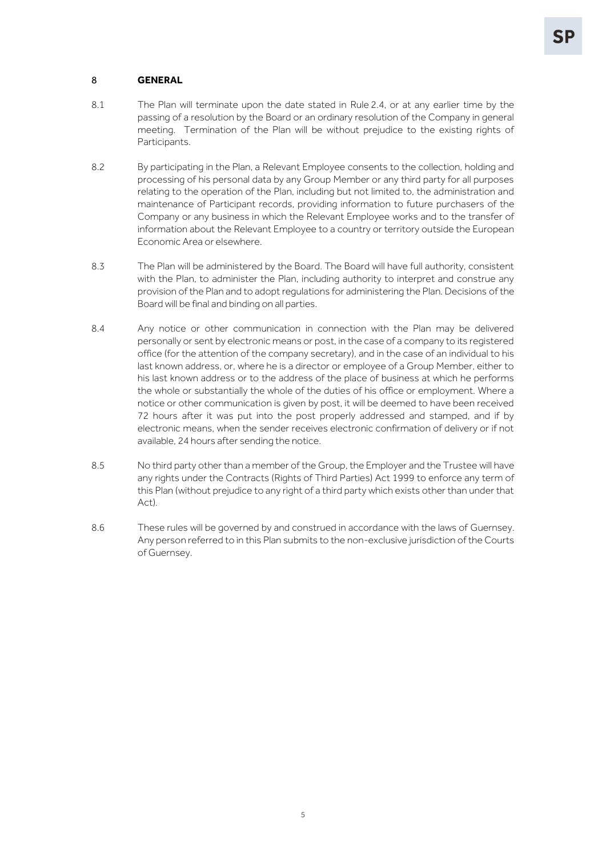### <span id="page-6-0"></span>8 **GENERAL**

- 8.1 The Plan will terminate upon the date stated in Rule [2.4,](#page-4-3) or at any earlier time by the passing of a resolution by the Board or an ordinary resolution of the Company in general meeting. Termination of the Plan will be without prejudice to the existing rights of Participants.
- 8.2 By participating in the Plan, a Relevant Employee consents to the collection, holding and processing of his personal data by any Group Member or any third party for all purposes relating to the operation of the Plan, including but not limited to, the administration and maintenance of Participant records, providing information to future purchasers of the Company or any business in which the Relevant Employee works and to the transfer of information about the Relevant Employee to a country or territory outside the European Economic Area or elsewhere.
- 8.3 The Plan will be administered by the Board. The Board will have full authority, consistent with the Plan, to administer the Plan, including authority to interpret and construe any provision of the Plan and to adopt regulations for administering the Plan. Decisions of the Board will be final and binding on all parties.
- 8.4 Any notice or other communication in connection with the Plan may be delivered personally or sent by electronic means or post, in the case of a company to its registered office (for the attention of the company secretary), and in the case of an individual to his last known address, or, where he is a director or employee of a Group Member, either to his last known address or to the address of the place of business at which he performs the whole or substantially the whole of the duties of his office or employment. Where a notice or other communication is given by post, it will be deemed to have been received 72 hours after it was put into the post properly addressed and stamped, and if by electronic means, when the sender receives electronic confirmation of delivery or if not available, 24 hours after sending the notice.
- 8.5 No third party other than a member of the Group, the Employer and the Trustee will have any rights under the Contracts (Rights of Third Parties) Act 1999 to enforce any term of this Plan (without prejudice to any right of a third party which exists other than under that Act).
- 8.6 These rules will be governed by and construed in accordance with the laws of Guernsey. Any person referred to in this Plan submits to the non-exclusive jurisdiction of the Courts of Guernsey.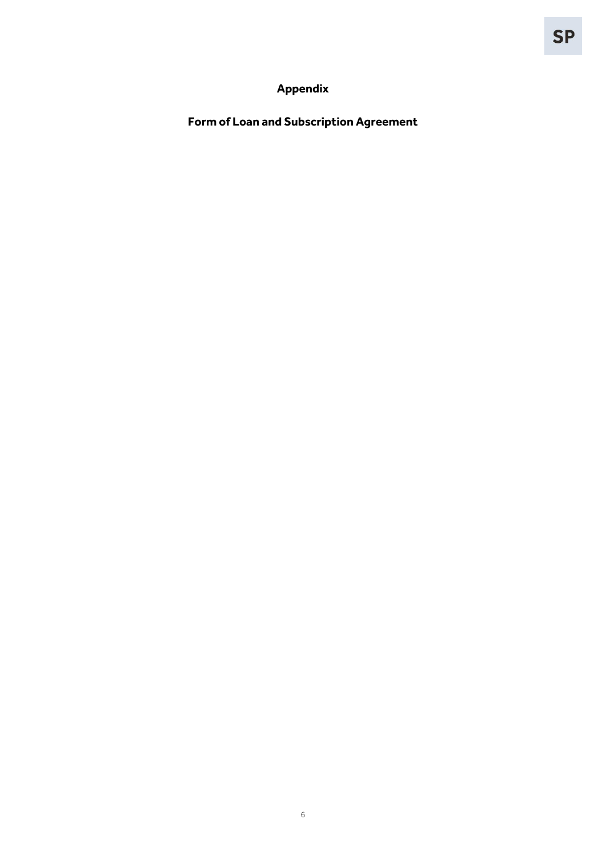# **Appendix**

<span id="page-7-0"></span>**Form of Loan and Subscription Agreement**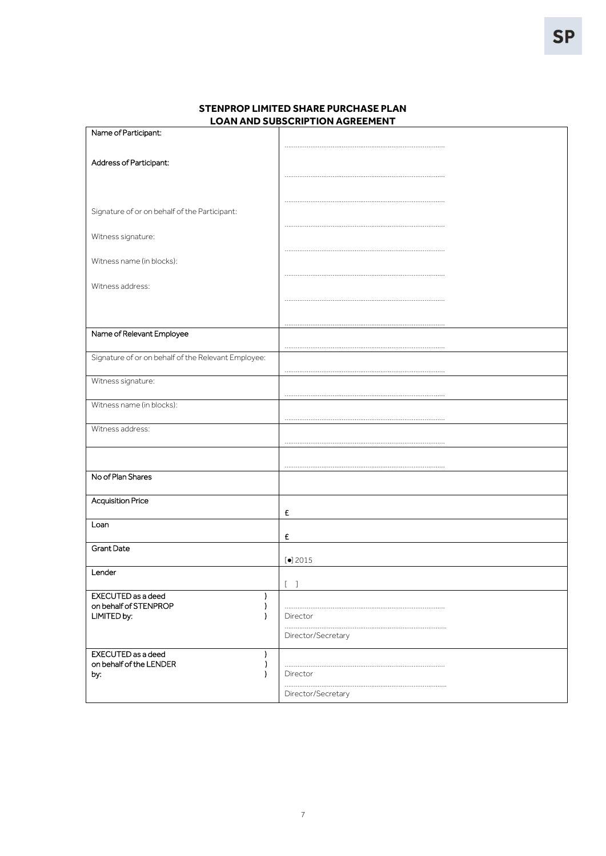| Signature of or on behalf of the Participant:<br>Witness signature:<br>Name of Relevant Employee<br>Witness name (in blocks):<br>Witness address:<br>No of Plan Shares<br><b>Acquisition Price</b><br>£<br>£<br><b>Grant Date</b><br>$\left[\bullet\right]$ 2015<br>Lender<br>$\left[ \begin{array}{cc} 1 & 1 \end{array} \right]$<br>I<br><sup>)</sup><br>.<br>LIMITED by:<br>Director<br>-1<br>Director/Secretary<br>EXECUTED as a deed<br>)<br>-)<br>Director | Name of Participant:                                |  |
|------------------------------------------------------------------------------------------------------------------------------------------------------------------------------------------------------------------------------------------------------------------------------------------------------------------------------------------------------------------------------------------------------------------------------------------------------------------|-----------------------------------------------------|--|
|                                                                                                                                                                                                                                                                                                                                                                                                                                                                  |                                                     |  |
|                                                                                                                                                                                                                                                                                                                                                                                                                                                                  | Address of Participant:                             |  |
|                                                                                                                                                                                                                                                                                                                                                                                                                                                                  |                                                     |  |
|                                                                                                                                                                                                                                                                                                                                                                                                                                                                  |                                                     |  |
|                                                                                                                                                                                                                                                                                                                                                                                                                                                                  |                                                     |  |
|                                                                                                                                                                                                                                                                                                                                                                                                                                                                  |                                                     |  |
|                                                                                                                                                                                                                                                                                                                                                                                                                                                                  |                                                     |  |
|                                                                                                                                                                                                                                                                                                                                                                                                                                                                  |                                                     |  |
|                                                                                                                                                                                                                                                                                                                                                                                                                                                                  | Witness name (in blocks):                           |  |
|                                                                                                                                                                                                                                                                                                                                                                                                                                                                  |                                                     |  |
|                                                                                                                                                                                                                                                                                                                                                                                                                                                                  | Witness address:                                    |  |
|                                                                                                                                                                                                                                                                                                                                                                                                                                                                  |                                                     |  |
|                                                                                                                                                                                                                                                                                                                                                                                                                                                                  |                                                     |  |
|                                                                                                                                                                                                                                                                                                                                                                                                                                                                  |                                                     |  |
|                                                                                                                                                                                                                                                                                                                                                                                                                                                                  |                                                     |  |
|                                                                                                                                                                                                                                                                                                                                                                                                                                                                  | Signature of or on behalf of the Relevant Employee: |  |
|                                                                                                                                                                                                                                                                                                                                                                                                                                                                  |                                                     |  |
|                                                                                                                                                                                                                                                                                                                                                                                                                                                                  | Witness signature:                                  |  |
|                                                                                                                                                                                                                                                                                                                                                                                                                                                                  |                                                     |  |
|                                                                                                                                                                                                                                                                                                                                                                                                                                                                  |                                                     |  |
|                                                                                                                                                                                                                                                                                                                                                                                                                                                                  |                                                     |  |
|                                                                                                                                                                                                                                                                                                                                                                                                                                                                  |                                                     |  |
|                                                                                                                                                                                                                                                                                                                                                                                                                                                                  |                                                     |  |
|                                                                                                                                                                                                                                                                                                                                                                                                                                                                  |                                                     |  |
|                                                                                                                                                                                                                                                                                                                                                                                                                                                                  |                                                     |  |
|                                                                                                                                                                                                                                                                                                                                                                                                                                                                  |                                                     |  |
|                                                                                                                                                                                                                                                                                                                                                                                                                                                                  |                                                     |  |
|                                                                                                                                                                                                                                                                                                                                                                                                                                                                  | Loan                                                |  |
|                                                                                                                                                                                                                                                                                                                                                                                                                                                                  |                                                     |  |
|                                                                                                                                                                                                                                                                                                                                                                                                                                                                  |                                                     |  |
|                                                                                                                                                                                                                                                                                                                                                                                                                                                                  |                                                     |  |
|                                                                                                                                                                                                                                                                                                                                                                                                                                                                  |                                                     |  |
|                                                                                                                                                                                                                                                                                                                                                                                                                                                                  | EXECUTED as a deed                                  |  |
|                                                                                                                                                                                                                                                                                                                                                                                                                                                                  | on behalf of STENPROP                               |  |
|                                                                                                                                                                                                                                                                                                                                                                                                                                                                  |                                                     |  |
|                                                                                                                                                                                                                                                                                                                                                                                                                                                                  |                                                     |  |
|                                                                                                                                                                                                                                                                                                                                                                                                                                                                  |                                                     |  |
|                                                                                                                                                                                                                                                                                                                                                                                                                                                                  | on behalf of the LENDER                             |  |
|                                                                                                                                                                                                                                                                                                                                                                                                                                                                  | by:                                                 |  |
| .<br>Director/Secretary                                                                                                                                                                                                                                                                                                                                                                                                                                          |                                                     |  |

## **STENPROP LIMITED SHARE PURCHASE PLAN LOAN AND SUBSCRIPTION AGREEMENT**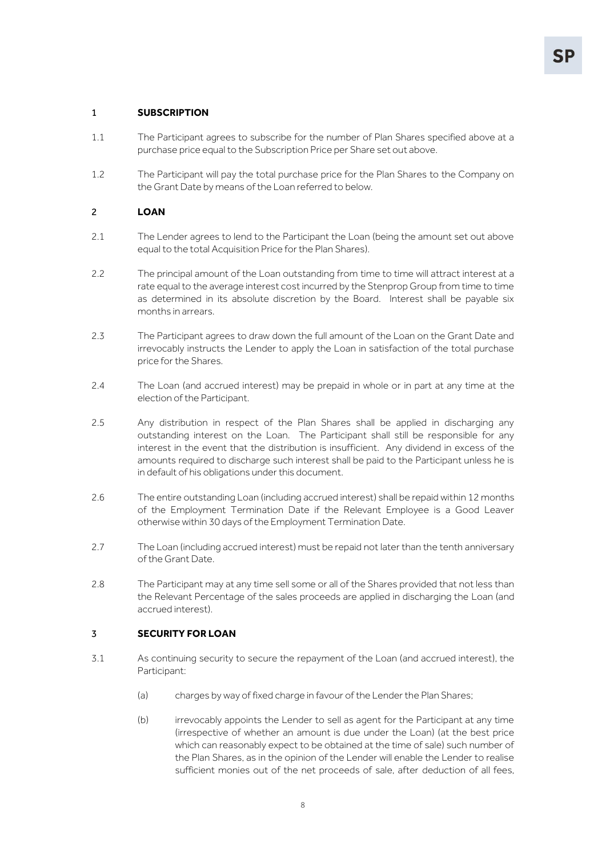### 1 **SUBSCRIPTION**

- 1.1 The Participant agrees to subscribe for the number of Plan Shares specified above at a purchase price equal to the Subscription Price per Share set out above.
- 1.2 The Participant will pay the total purchase price for the Plan Shares to the Company on the Grant Date by means of the Loan referred to below.

### 2 **LOAN**

- 2.1 The Lender agrees to lend to the Participant the Loan (being the amount set out above equal to the total Acquisition Price for the Plan Shares).
- 2.2 The principal amount of the Loan outstanding from time to time will attract interest at a rate equal to the average interest cost incurred by the Stenprop Group from time to time as determined in its absolute discretion by the Board. Interest shall be payable six months in arrears.
- 2.3 The Participant agrees to draw down the full amount of the Loan on the Grant Date and irrevocably instructs the Lender to apply the Loan in satisfaction of the total purchase price for the Shares.
- 2.4 The Loan (and accrued interest) may be prepaid in whole or in part at any time at the election of the Participant.
- 2.5 Any distribution in respect of the Plan Shares shall be applied in discharging any outstanding interest on the Loan. The Participant shall still be responsible for any interest in the event that the distribution is insufficient. Any dividend in excess of the amounts required to discharge such interest shall be paid to the Participant unless he is in default of his obligations under this document.
- 2.6 The entire outstanding Loan (including accrued interest) shall be repaid within 12 months of the Employment Termination Date if the Relevant Employee is a Good Leaver otherwise within 30 days of the Employment Termination Date.
- 2.7 The Loan (including accrued interest) must be repaid not later than the tenth anniversary of the Grant Date.
- 2.8 The Participant may at any time sell some or all of the Shares provided that not less than the Relevant Percentage of the sales proceeds are applied in discharging the Loan (and accrued interest).

#### 3 **SECURITY FOR LOAN**

- 3.1 As continuing security to secure the repayment of the Loan (and accrued interest), the Participant:
	- (a) charges by way of fixed charge in favour of the Lender the Plan Shares;
	- (b) irrevocably appoints the Lender to sell as agent for the Participant at any time (irrespective of whether an amount is due under the Loan) (at the best price which can reasonably expect to be obtained at the time of sale) such number of the Plan Shares, as in the opinion of the Lender will enable the Lender to realise sufficient monies out of the net proceeds of sale, after deduction of all fees,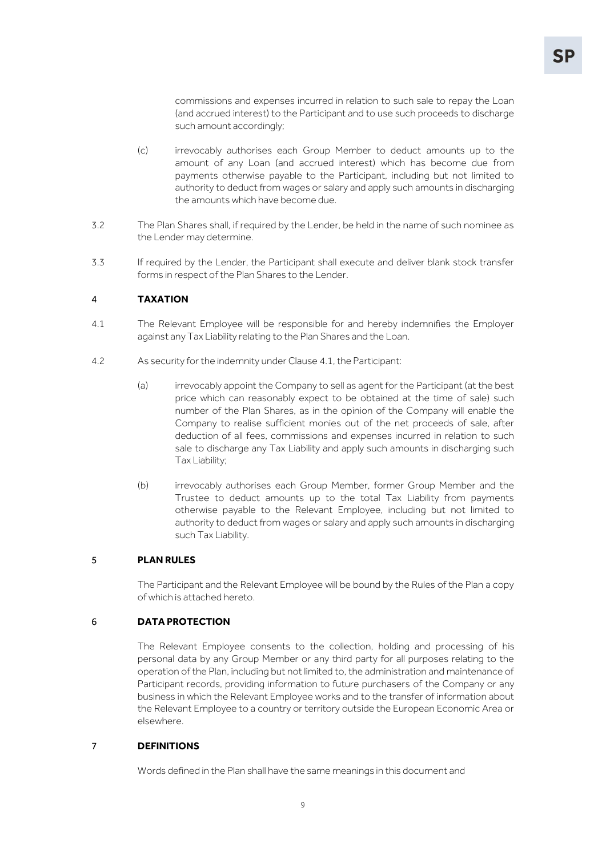commissions and expenses incurred in relation to such sale to repay the Loan (and accrued interest) to the Participant and to use such proceeds to discharge such amount accordingly;

- (c) irrevocably authorises each Group Member to deduct amounts up to the amount of any Loan (and accrued interest) which has become due from payments otherwise payable to the Participant, including but not limited to authority to deduct from wages or salary and apply such amounts in discharging the amounts which have become due.
- 3.2 The Plan Shares shall, if required by the Lender, be held in the name of such nominee as the Lender may determine.
- 3.3 If required by the Lender, the Participant shall execute and deliver blank stock transfer forms in respect of the Plan Shares to the Lender.

#### <span id="page-10-0"></span>4 **TAXATION**

- 4.1 The Relevant Employee will be responsible for and hereby indemnifies the Employer against any Tax Liability relating to the Plan Shares and the Loan.
- 4.2 As security for the indemnity under Clause [4.1,](#page-10-0) the Participant:
	- (a) irrevocably appoint the Company to sell as agent for the Participant (at the best price which can reasonably expect to be obtained at the time of sale) such number of the Plan Shares, as in the opinion of the Company will enable the Company to realise sufficient monies out of the net proceeds of sale, after deduction of all fees, commissions and expenses incurred in relation to such sale to discharge any Tax Liability and apply such amounts in discharging such Tax Liability;
	- (b) irrevocably authorises each Group Member, former Group Member and the Trustee to deduct amounts up to the total Tax Liability from payments otherwise payable to the Relevant Employee, including but not limited to authority to deduct from wages or salary and apply such amounts in discharging such Tax Liability.

#### 5 **PLAN RULES**

The Participant and the Relevant Employee will be bound by the Rules of the Plan a copy of which is attached hereto.

#### 6 **DATA PROTECTION**

The Relevant Employee consents to the collection, holding and processing of his personal data by any Group Member or any third party for all purposes relating to the operation of the Plan, including but not limited to, the administration and maintenance of Participant records, providing information to future purchasers of the Company or any business in which the Relevant Employee works and to the transfer of information about the Relevant Employee to a country or territory outside the European Economic Area or elsewhere.

#### 7 **DEFINITIONS**

Words defined in the Plan shall have the same meanings in this document and